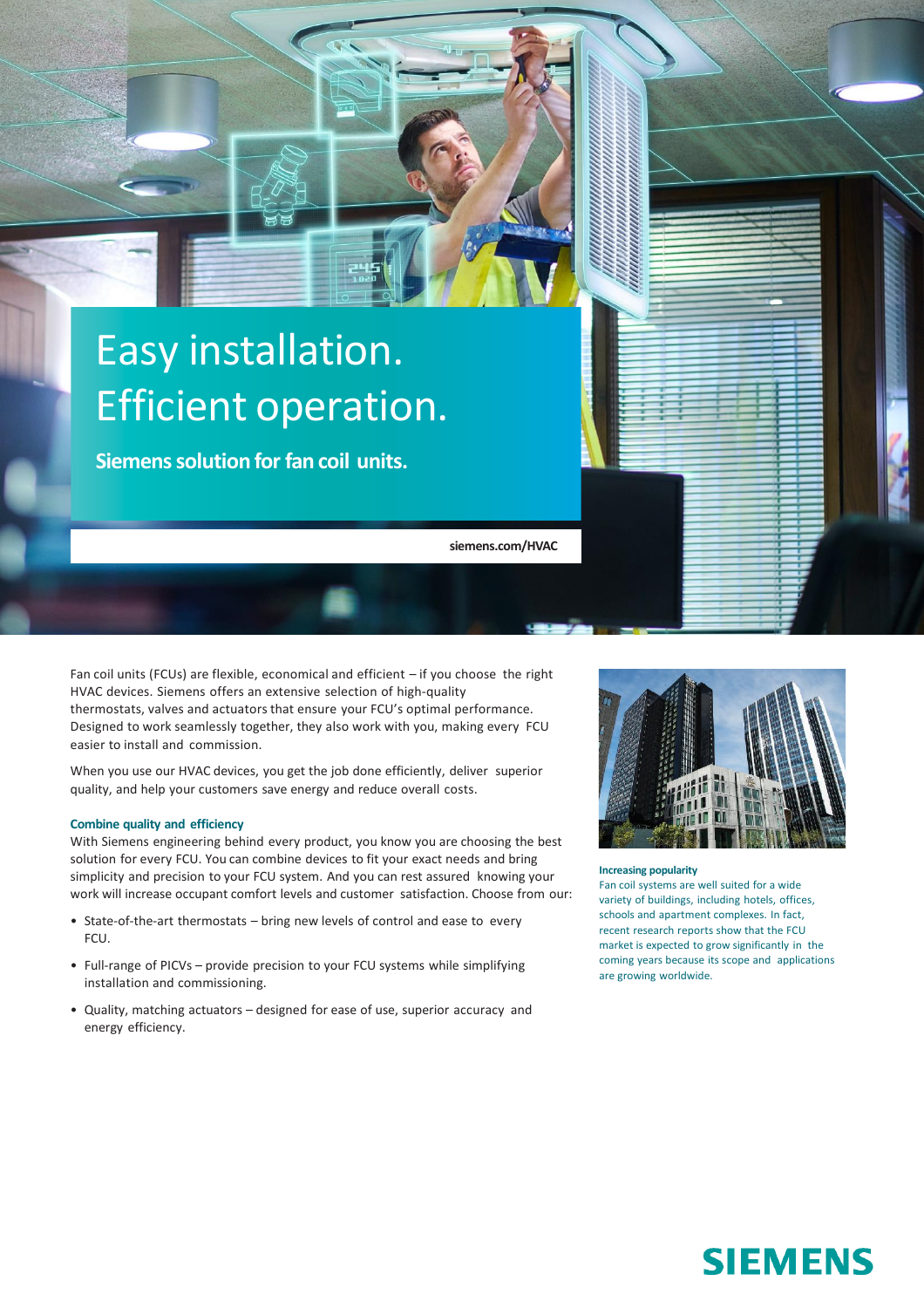# Easy installation. Efficient operation.

**Siemens solution for fan coil units.**

**siemens.com/HVAC**

Fan coil units (FCUs) are flexible, economical and efficient – if you choose the right HVAC devices. Siemens offers an extensive selection of high-quality thermostats, valves and actuators that ensure your FCU's optimal performance. Designed to work seamlessly together, they also work with you, making every FCU easier to install and commission.

When you use our HVAC devices, you get the job done efficiently, deliver superior quality, and help your customers save energy and reduce overall costs.

#### **Combine quality and efficiency**

With Siemens engineering behind every product, you know you are choosing the best solution for every FCU. You can combine devices to fit your exact needs and bring simplicity and precision to your FCU system. And you can rest assured knowing your work will increase occupant comfort levels and customer satisfaction. Choose from our:

- State-of-the-art thermostats bring new levels of control and ease to every FCU.
- Full-range of PICVs provide precision to your FCU systems while simplifying installation and commissioning.
- Quality, matching actuators designed for ease of use, superior accuracy and energy efficiency.



#### **Increasing popularity**

Fan coil systems are well suited for a wide variety of buildings, including hotels, offices, schools and apartment complexes. In fact, recent research reports show that the FCU market is expected to grow significantly in the coming years because its scope and applications are growing worldwide.